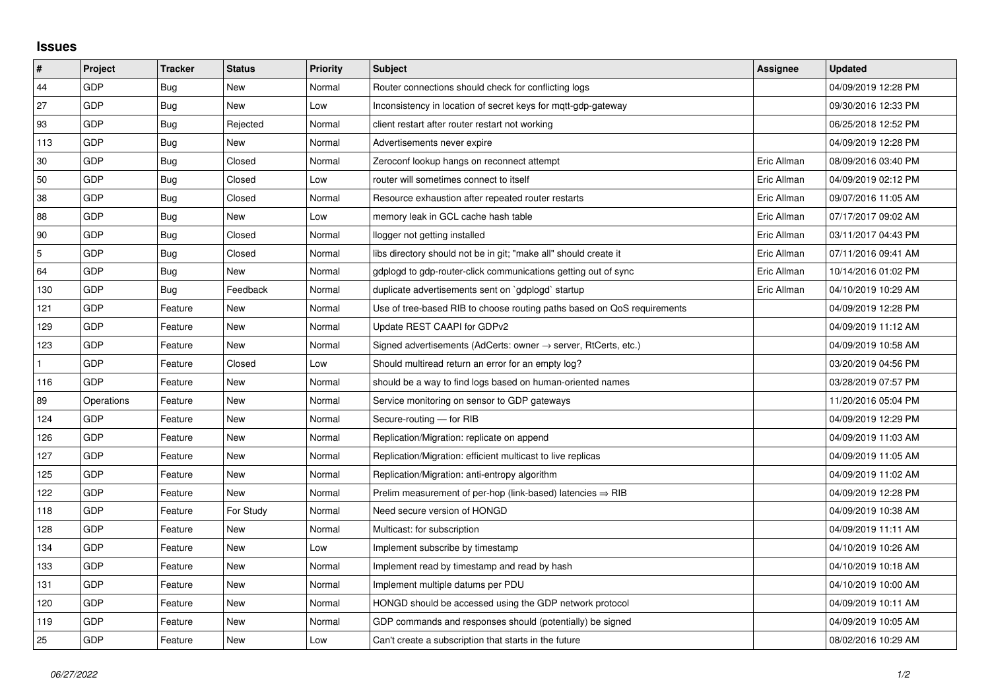## **Issues**

| #   | Project    | <b>Tracker</b> | <b>Status</b> | <b>Priority</b> | <b>Subject</b>                                                             | Assignee    | <b>Updated</b>      |
|-----|------------|----------------|---------------|-----------------|----------------------------------------------------------------------------|-------------|---------------------|
| 44  | GDP        | Bug            | <b>New</b>    | Normal          | Router connections should check for conflicting logs                       |             | 04/09/2019 12:28 PM |
| 27  | GDP        | Bug            | <b>New</b>    | Low             | Inconsistency in location of secret keys for mgtt-gdp-gateway              |             | 09/30/2016 12:33 PM |
| 93  | GDP        | Bug            | Rejected      | Normal          | client restart after router restart not working                            |             | 06/25/2018 12:52 PM |
| 113 | GDP        | Bug            | <b>New</b>    | Normal          | Advertisements never expire                                                |             | 04/09/2019 12:28 PM |
| 30  | GDP        | Bug            | Closed        | Normal          | Zeroconf lookup hangs on reconnect attempt                                 | Eric Allman | 08/09/2016 03:40 PM |
| 50  | GDP        | Bug            | Closed        | Low             | router will sometimes connect to itself                                    | Eric Allman | 04/09/2019 02:12 PM |
| 38  | GDP        | <b>Bug</b>     | Closed        | Normal          | Resource exhaustion after repeated router restarts                         | Eric Allman | 09/07/2016 11:05 AM |
| 88  | GDP        | Bug            | New           | Low             | memory leak in GCL cache hash table                                        | Eric Allman | 07/17/2017 09:02 AM |
| 90  | GDP        | <b>Bug</b>     | Closed        | Normal          | llogger not getting installed                                              | Eric Allman | 03/11/2017 04:43 PM |
| 5   | GDP        | <b>Bug</b>     | Closed        | Normal          | libs directory should not be in git; "make all" should create it           | Eric Allman | 07/11/2016 09:41 AM |
| 64  | GDP        | Bug            | <b>New</b>    | Normal          | gdplogd to gdp-router-click communications getting out of sync             | Eric Allman | 10/14/2016 01:02 PM |
| 130 | GDP        | Bug            | Feedback      | Normal          | duplicate advertisements sent on `gdplogd` startup                         | Eric Allman | 04/10/2019 10:29 AM |
| 121 | GDP        | Feature        | <b>New</b>    | Normal          | Use of tree-based RIB to choose routing paths based on QoS requirements    |             | 04/09/2019 12:28 PM |
| 129 | GDP        | Feature        | New           | Normal          | Update REST CAAPI for GDPv2                                                |             | 04/09/2019 11:12 AM |
| 123 | GDP        | Feature        | New           | Normal          | Signed advertisements (AdCerts: owner $\rightarrow$ server, RtCerts, etc.) |             | 04/09/2019 10:58 AM |
|     | GDP        | Feature        | Closed        | Low             | Should multiread return an error for an empty log?                         |             | 03/20/2019 04:56 PM |
| 116 | GDP        | Feature        | New           | Normal          | should be a way to find logs based on human-oriented names                 |             | 03/28/2019 07:57 PM |
| 89  | Operations | Feature        | New           | Normal          | Service monitoring on sensor to GDP gateways                               |             | 11/20/2016 05:04 PM |
| 124 | GDP        | Feature        | New           | Normal          | Secure-routing - for RIB                                                   |             | 04/09/2019 12:29 PM |
| 126 | GDP        | Feature        | New           | Normal          | Replication/Migration: replicate on append                                 |             | 04/09/2019 11:03 AM |
| 127 | GDP        | Feature        | New           | Normal          | Replication/Migration: efficient multicast to live replicas                |             | 04/09/2019 11:05 AM |
| 125 | GDP        | Feature        | <b>New</b>    | Normal          | Replication/Migration: anti-entropy algorithm                              |             | 04/09/2019 11:02 AM |
| 122 | GDP        | Feature        | <b>New</b>    | Normal          | Prelim measurement of per-hop (link-based) latencies $\Rightarrow$ RIB     |             | 04/09/2019 12:28 PM |
| 118 | GDP        | Feature        | For Study     | Normal          | Need secure version of HONGD                                               |             | 04/09/2019 10:38 AM |
| 128 | GDP        | Feature        | <b>New</b>    | Normal          | Multicast: for subscription                                                |             | 04/09/2019 11:11 AM |
| 134 | GDP        | Feature        | New           | Low             | Implement subscribe by timestamp                                           |             | 04/10/2019 10:26 AM |
| 133 | GDP        | Feature        | New           | Normal          | Implement read by timestamp and read by hash                               |             | 04/10/2019 10:18 AM |
| 131 | GDP        | Feature        | New           | Normal          | Implement multiple datums per PDU                                          |             | 04/10/2019 10:00 AM |
| 120 | GDP        | Feature        | New           | Normal          | HONGD should be accessed using the GDP network protocol                    |             | 04/09/2019 10:11 AM |
| 119 | GDP        | Feature        | New           | Normal          | GDP commands and responses should (potentially) be signed                  |             | 04/09/2019 10:05 AM |
| 25  | GDP        | Feature        | <b>New</b>    | Low             | Can't create a subscription that starts in the future                      |             | 08/02/2016 10:29 AM |